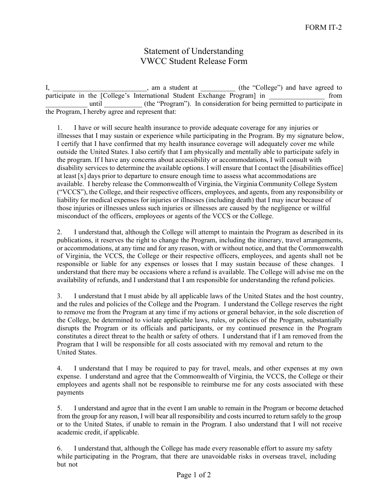## Statement of Understanding VWCC Student Release Form

I, \_\_\_\_\_\_\_\_\_\_\_\_\_\_\_\_\_\_\_\_\_\_\_\_, am a student at \_\_\_\_\_\_\_\_\_\_ (the "College") and have agreed to participate in the [College's International Student Exchange Program] in \_\_\_\_\_\_\_\_\_\_\_\_\_\_\_\_\_ from until \_\_\_\_\_\_\_\_\_\_\_ (the "Program"). In consideration for being permitted to participate in the Program, I hereby agree and represent that:

1. I have or will secure health insurance to provide adequate coverage for any injuries or illnesses that I may sustain or experience while participating in the Program. By my signature below, I certify that I have confirmed that my health insurance coverage will adequately cover me while outside the United States. I also certify that I am physically and mentally able to participate safely in the program. If I have any concerns about accessibility or accommodations, I will consult with disability services to determine the available options. I will ensure that I contact the [disabilities office] at least [x] days prior to departure to ensure enough time to assess what accommodations are available. I hereby release the Commonwealth of Virginia, the Virginia Community College System ("VCCS"), the College, and their respective officers, employees, and agents, from any responsibility or liability for medical expenses for injuries or illnesses (including death) that I may incur because of those injuries or illnesses unless such injuries or illnesses are caused by the negligence or willful misconduct of the officers, employees or agents of the VCCS or the College.

2. I understand that, although the College will attempt to maintain the Program as described in its publications, it reserves the right to change the Program, including the itinerary, travel arrangements, or accommodations, at any time and for any reason, with or without notice, and that the Commonwealth of Virginia, the VCCS, the College or their respective officers, employees, and agents shall not be responsible or liable for any expenses or losses that I may sustain because of these changes. I understand that there may be occasions where a refund is available. The College will advise me on the availability of refunds, and I understand that I am responsible for understanding the refund policies.

3. I understand that I must abide by all applicable laws of the United States and the host country, and the rules and policies of the College and the Program. I understand the College reserves the right to remove me from the Program at any time if my actions or general behavior, in the sole discretion of the College, be determined to violate applicable laws, rules, or policies of the Program, substantially disrupts the Program or its officials and participants, or my continued presence in the Program constitutes a direct threat to the health or safety of others. I understand that if I am removed from the Program that I will be responsible for all costs associated with my removal and return to the United States.

4. I understand that I may be required to pay for travel, meals, and other expenses at my own expense. I understand and agree that the Commonwealth of Virginia, the VCCS, the College or their employees and agents shall not be responsible to reimburse me for any costs associated with these payments

5. I understand and agree that in the event I am unable to remain in the Program or become detached from the group for any reason, I will bear all responsibility and costs incurred to return safely to the group or to the United States, if unable to remain in the Program. I also understand that I will not receive academic credit, if applicable.

6. I understand that, although the College has made every reasonable effort to assure my safety while participating in the Program, that there are unavoidable risks in overseas travel, including but not